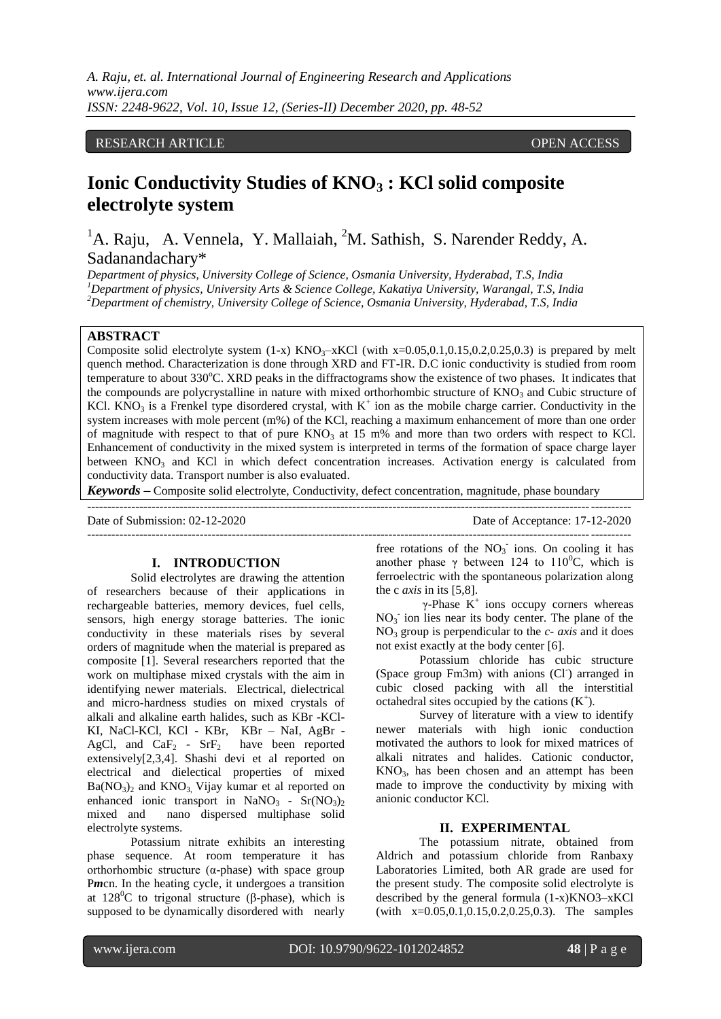*A. Raju, et. al. International Journal of Engineering Research and Applications www.ijera.com ISSN: 2248-9622, Vol. 10, Issue 12, (Series-II) December 2020, pp. 48-52*

## RESEARCH ARTICLE **ARTICLE** AND **CONSIDERING ACCESS** OPEN ACCESS OPEN ACCESS

# **Ionic Conductivity Studies of KNO<sup>3</sup> : KCl solid composite electrolyte system**

<sup>1</sup>A. Raju, A. Vennela, Y. Mallaiah, <sup>2</sup>M. Sathish, S. Narender Reddy, A. Sadanandachary\*

*Department of physics, University College of Science, Osmania University, Hyderabad, T.S, India <sup>1</sup>Department of physics, University Arts & Science College, Kakatiya University, Warangal, T.S, India <sup>2</sup>Department of chemistry, University College of Science, Osmania University, Hyderabad, T.S, India*

## **ABSTRACT**

Composite solid electrolyte system  $(1-x)$  KNO<sub>3</sub>–xKCl (with x=0.05,0.1,0.15,0.2,0.25,0.3) is prepared by melt quench method. Characterization is done through XRD and FT-IR. D.C ionic conductivity is studied from room temperature to about 330°C. XRD peaks in the diffractograms show the existence of two phases. It indicates that the compounds are polycrystalline in nature with mixed orthorhombic structure of  $KNO<sub>3</sub>$  and Cubic structure of KCl. KNO<sub>3</sub> is a Frenkel type disordered crystal, with  $K^+$  ion as the mobile charge carrier. Conductivity in the system increases with mole percent (m%) of the KCl, reaching a maximum enhancement of more than one order of magnitude with respect to that of pure  $KNO_3$  at 15 m% and more than two orders with respect to KCl. Enhancement of conductivity in the mixed system is interpreted in terms of the formation of space charge layer between  $KNO<sub>3</sub>$  and KCl in which defect concentration increases. Activation energy is calculated from conductivity data. Transport number is also evaluated.

*Keywords* **–** Composite solid electrolyte, Conductivity, defect concentration, magnitude, phase boundary

---------------------------------------------------------------------------------------------------------------------------------------

---------------------------------------------------------------------------------------------------------------------------------------

Date of Submission: 02-12-2020 Date of Acceptance: 17-12-2020

#### **I. INTRODUCTION**

Solid electrolytes are drawing the attention of researchers because of their applications in rechargeable batteries, memory devices, fuel cells, sensors, high energy storage batteries. The ionic conductivity in these materials rises by several orders of magnitude when the material is prepared as composite [1]. Several researchers reported that the work on multiphase mixed crystals with the aim in identifying newer materials. Electrical, dielectrical and micro-hardness studies on mixed crystals of alkali and alkaline earth halides, such as KBr -KCl-KI, NaCl-KCl, KCl - KBr, KBr – NaI, AgBr - AgCl, and  $CaF<sub>2</sub> - SrF<sub>2</sub>$  have been reported extensively[2,3,4]. Shashi devi et al reported on electrical and dielectical properties of mixed  $Ba(NO<sub>3</sub>)<sub>2</sub>$  and  $KNO<sub>3</sub>$ , Vijay kumar et al reported on enhanced ionic transport in  $NaNO<sub>3</sub> - Sr(NO<sub>3</sub>)<sub>2</sub>$ mixed and nano dispersed multiphase solid electrolyte systems.

Potassium nitrate exhibits an interesting phase sequence. At room temperature it has orthorhombic structure  $(\alpha$ -phase) with space group Pmcn. In the heating cycle, it undergoes a transition at  $128^{\circ}$ C to trigonal structure (β-phase), which is supposed to be dynamically disordered with nearly

free rotations of the  $NO<sub>3</sub>$  ions. On cooling it has another phase  $\gamma$  between 124 to 110<sup>0</sup>C, which is ferroelectric with the spontaneous polarization along the c *axis* in its [5,8].

 $\gamma$ -Phase K<sup>+</sup> ions occupy corners whereas  $NO<sub>3</sub>$  ion lies near its body center. The plane of the NO<sup>3</sup> group is perpendicular to the *c- axis* and it does not exist exactly at the body center [6].

Potassium chloride has cubic structure (Space group Fm3m) with anions (Cl<sup>-</sup>) arranged in cubic closed packing with all the interstitial octahedral sites occupied by the cations  $(K^+)$ .

Survey of literature with a view to identify newer materials with high ionic conduction motivated the authors to look for mixed matrices of alkali nitrates and halides. Cationic conductor, KNO<sub>3</sub>, has been chosen and an attempt has been made to improve the conductivity by mixing with anionic conductor KCl.

## **II. EXPERIMENTAL**

The potassium nitrate, obtained from Aldrich and potassium chloride from Ranbaxy Laboratories Limited, both AR grade are used for the present study. The composite solid electrolyte is described by the general formula (1-x)KNO3–xKCl (with x=0.05,0.1,0.15,0.2,0.25,0.3). The samples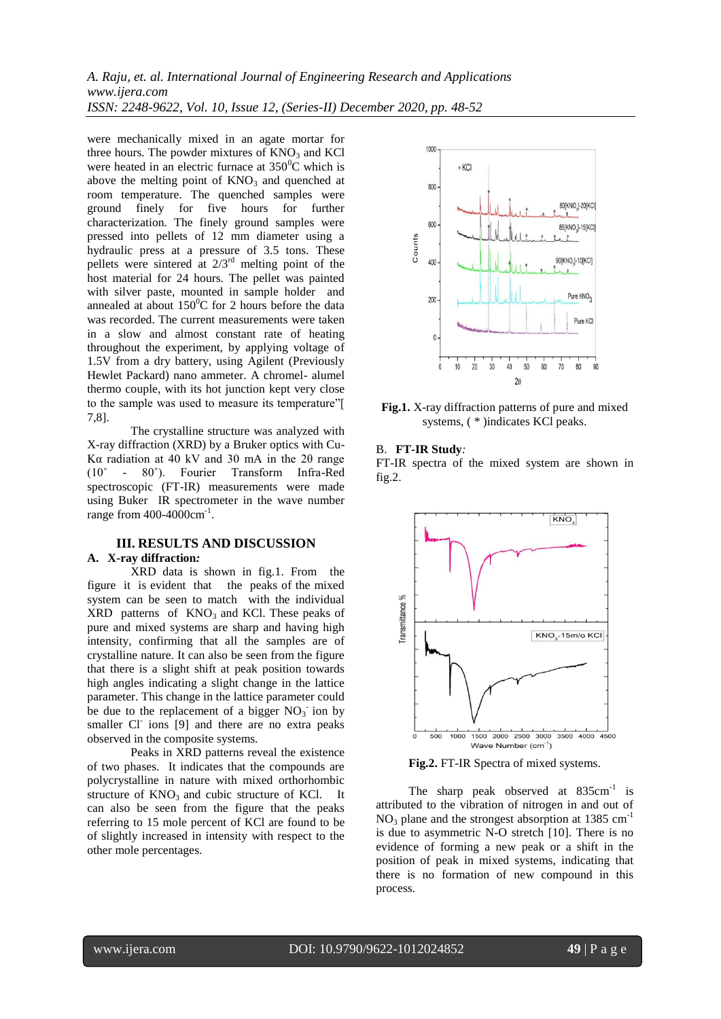*A. Raju, et. al. International Journal of Engineering Research and Applications www.ijera.com ISSN: 2248-9622, Vol. 10, Issue 12, (Series-II) December 2020, pp. 48-52*

were mechanically mixed in an agate mortar for three hours. The powder mixtures of  $KNO<sub>3</sub>$  and  $KCl$ were heated in an electric furnace at  $350^{\circ}$ C which is above the melting point of  $KNO_3$  and quenched at room temperature. The quenched samples were ground finely for five hours for further characterization. The finely ground samples were pressed into pellets of 12 mm diameter using a hydraulic press at a pressure of 3.5 tons. These pellets were sintered at  $2/3<sup>rd</sup>$  melting point of the host material for 24 hours. The pellet was painted with silver paste, mounted in sample holder and annealed at about  $150^{\circ}$ C for 2 hours before the data was recorded. The current measurements were taken in a slow and almost constant rate of heating throughout the experiment, by applying voltage of 1.5V from a dry battery, using Agilent (Previously Hewlet Packard) nano ammeter. A chromel- alumel thermo couple, with its hot junction kept very close to the sample was used to measure its temperature"[ 7,8].

The crystalline structure was analyzed with X-ray diffraction (XRD) by a Bruker optics with Cu-Kα radiation at 40 kV and 30 mA in the 2θ range (10˚ - 80˚). Fourier Transform Infra-Red spectroscopic (FT-IR) measurements were made using Buker IR spectrometer in the wave number range from 400-4000cm<sup>-1</sup>.

## **III. RESULTS AND DISCUSSION A. X-ray diffraction***:*

XRD data is shown in fig.1. From the figure it is evident that the peaks of the mixed system can be seen to match with the individual  $XRD$  patterns of  $KNO<sub>3</sub>$  and KCl. These peaks of pure and mixed systems are sharp and having high intensity, confirming that all the samples are of crystalline nature. It can also be seen from the figure that there is a slight shift at peak position towards high angles indicating a slight change in the lattice parameter. This change in the lattice parameter could be due to the replacement of a bigger  $NO<sub>3</sub>$  ion by smaller Cl<sup>-</sup> ions [9] and there are no extra peaks observed in the composite systems.

Peaks in XRD patterns reveal the existence of two phases. It indicates that the compounds are polycrystalline in nature with mixed orthorhombic structure of  $KNO_3$  and cubic structure of KCl. It can also be seen from the figure that the peaks referring to 15 mole percent of KCl are found to be of slightly increased in intensity with respect to the other mole percentages.



**Fig.1.** X-ray diffraction patterns of pure and mixed systems, ( \* )indicates KCl peaks.

#### B. **FT-IR Study***:*

FT-IR spectra of the mixed system are shown in fig.2.





The sharp peak observed at  $835 \text{cm}^{-1}$  is attributed to the vibration of nitrogen in and out of  $NO<sub>3</sub>$  plane and the strongest absorption at 1385 cm<sup>-1</sup> is due to asymmetric N-O stretch [10]. There is no evidence of forming a new peak or a shift in the position of peak in mixed systems, indicating that there is no formation of new compound in this process.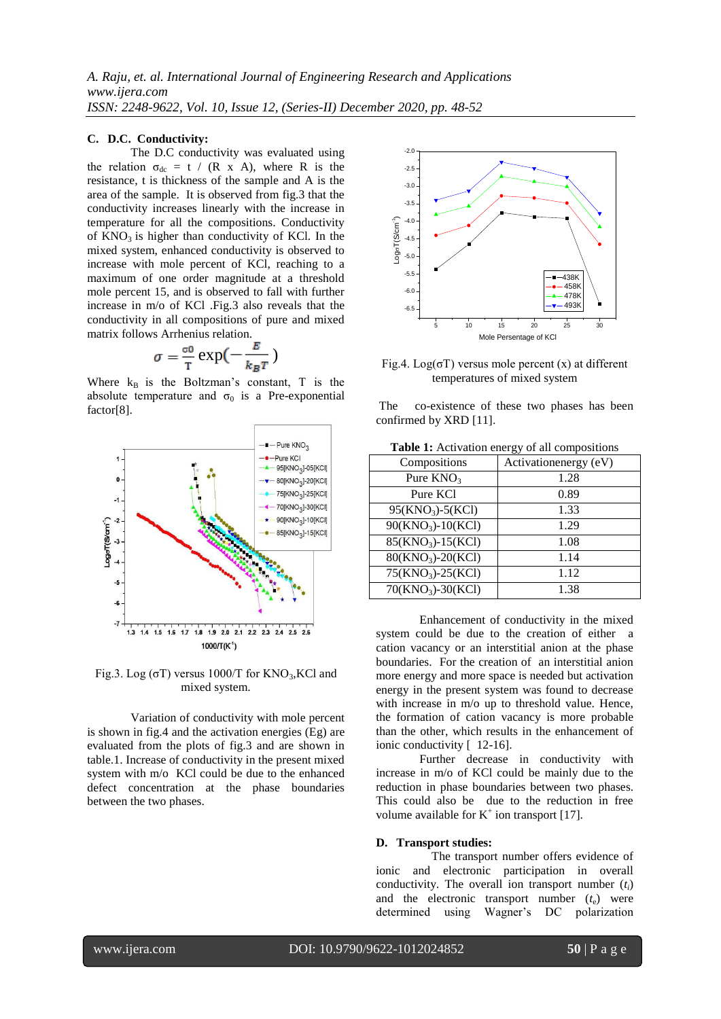## **C. D.C. Conductivity:**

The D.C conductivity was evaluated using the relation  $\sigma_{dc} = t / (R \times A)$ , where R is the resistance, t is thickness of the sample and A is the area of the sample. It is observed from fig.3 that the conductivity increases linearly with the increase in temperature for all the compositions. Conductivity of  $KNO<sub>3</sub>$  is higher than conductivity of KCl. In the mixed system, enhanced conductivity is observed to increase with mole percent of KCl, reaching to a maximum of one order magnitude at a threshold mole percent 15, and is observed to fall with further increase in m/o of KCl .Fig.3 also reveals that the conductivity in all compositions of pure and mixed matrix follows Arrhenius relation.

$$
\sigma = \frac{\sigma_0}{T} \exp\left(-\frac{E}{k_B T}\right)
$$

Where  $k_B$  is the Boltzman's constant, T is the absolute temperature and  $\sigma_0$  is a Pre-exponential factor[8].



Fig.3. Log ( $\sigma$ T) versus 1000/T for KNO<sub>3</sub>, KCl and mixed system.

Variation of conductivity with mole percent is shown in fig.4 and the activation energies (Eg) are evaluated from the plots of fig.3 and are shown in table.1. Increase of conductivity in the present mixed system with m/o KCl could be due to the enhanced defect concentration at the phase boundaries between the two phases.



Fig.4.  $Log(\sigma T)$  versus mole percent (x) at different temperatures of mixed system

The co-existence of these two phases has been confirmed by XRD [11].

| <b>rapic 1.</b> Activation clicrgy of an compositions |                       |
|-------------------------------------------------------|-----------------------|
| Compositions                                          | Activationenergy (eV) |
| Pure $KNO_3$                                          | 1.28                  |
| Pure KCl                                              | 0.89                  |
| $95(KNO_3) - 5(KCl)$                                  | 1.33                  |
| $90(KNO3)-10(KCl)$                                    | 1.29                  |
| 85(KNO <sub>3</sub> )-15(KCl)                         | 1.08                  |
| $80(KNO3)-20(KCl)$                                    | 1.14                  |
| $75(KNO3)-25(KCl)$                                    | 1.12                  |
| $70(KNO_3) - 30(KCl)$                                 | 1.38                  |

**Table 1:** Activation energy of all compositions

Enhancement of conductivity in the mixed system could be due to the creation of either a cation vacancy or an interstitial anion at the phase boundaries. For the creation of an interstitial anion more energy and more space is needed but activation energy in the present system was found to decrease with increase in m/o up to threshold value. Hence, the formation of cation vacancy is more probable than the other, which results in the enhancement of ionic conductivity [ 12-16].

Further decrease in conductivity with increase in m/o of KCl could be mainly due to the reduction in phase boundaries between two phases. This could also be due to the reduction in free volume available for  $K^+$  ion transport [17].

## **D. Transport studies:**

 The transport number offers evidence of ionic and electronic participation in overall conductivity. The overall ion transport number  $(t_i)$ and the electronic transport number  $(t_e)$  were determined using Wagner's DC polarization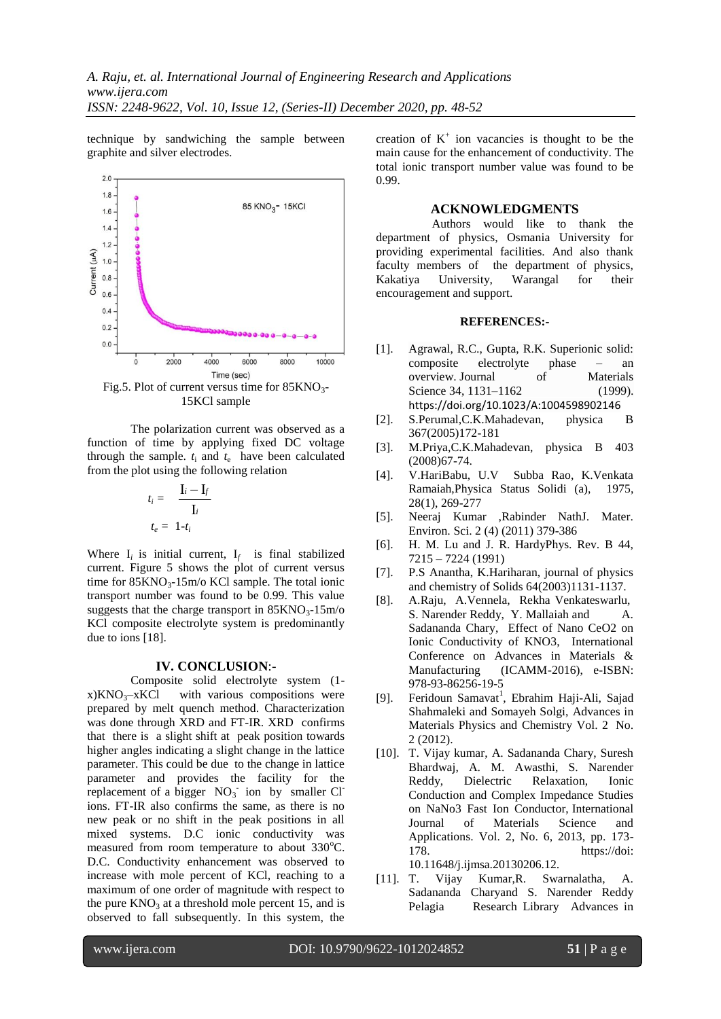technique by sandwiching the sample between graphite and silver electrodes.



Fig.5. Plot of current versus time for  $85KNO<sub>3</sub>$ -15KCl sample

The polarization current was observed as a function of time by applying fixed DC voltage through the sample.  $t_i$  and  $t_e$  have been calculated from the plot using the following relation

$$
t_i = \frac{\mathbf{I}_i - \mathbf{I}_f}{\mathbf{I}_i}
$$

$$
t_e = 1 - t_i
$$

Where  $I_i$  is initial current,  $I_f$  is final stabilized current. Figure 5 shows the plot of current versus time for  $85KNO<sub>3</sub>$ -15m/o KCl sample. The total ionic transport number was found to be 0.99. This value suggests that the charge transport in  $85KNO<sub>3</sub>$ -15m/o KCl composite electrolyte system is predominantly due to ions [18].

#### **IV. CONCLUSION**:-

Composite solid electrolyte system (1  $x)KNO<sub>3</sub>-xKC1$  with various compositions were prepared by melt quench method. Characterization was done through XRD and FT-IR. XRD confirms that there is a slight shift at peak position towards higher angles indicating a slight change in the lattice parameter. This could be due to the change in lattice parameter and provides the facility for the replacement of a bigger  $NO<sub>3</sub>$  ion by smaller Cl ions. FT-IR also confirms the same, as there is no new peak or no shift in the peak positions in all mixed systems. D.C ionic conductivity was measured from room temperature to about 330°C. D.C. Conductivity enhancement was observed to increase with mole percent of KCl, reaching to a maximum of one order of magnitude with respect to the pure  $KNO_3$  at a threshold mole percent 15, and is observed to fall subsequently. In this system, the

creation of  $K^+$  ion vacancies is thought to be the main cause for the enhancement of conductivity. The total ionic transport number value was found to be 0.99.

# **ACKNOWLEDGMENTS**

 Authors would like to thank the department of physics, Osmania University for providing experimental facilities. And also thank faculty members of the department of physics, Kakatiya University, Warangal for their encouragement and support.

#### **REFERENCES:-**

- [1]. Agrawal, R.C., Gupta, R.K. Superionic solid: composite electrolyte phase – an overview. Journal of Materials Science 34, 1131–1162 (1999). <https://doi.org/10.1023/A:1004598902146>
- [2]. S.Perumal,C.K.Mahadevan, physica B 367(2005)172-181
- [3]. M.Priya,C.K.Mahadevan, physica B 403 (2008)67-74.
- [4]. V.HariBabu, U.V Subba Rao, K.Venkata Ramaiah,Physica Status Solidi (a), 1975, 28(1), 269-277
- [5]. Neeraj Kumar ,Rabinder NathJ. Mater. Environ. Sci. 2 (4) (2011) 379-386
- [6]. H. M. Lu and J. R. HardyPhys. Rev. B 44, 7215 – 7224 (1991)
- [7]. P.S Anantha, K.Hariharan, journal of physics and chemistry of Solids 64(2003)1131-1137.
- [8]. A.Raju, A.Vennela, Rekha Venkateswarlu, S. Narender Reddy, Y. Mallaiah and A. Sadananda Chary, Effect of Nano CeO2 on Ionic Conductivity of KNO3, International Conference on Advances in Materials & Manufacturing (ICAMM-2016), e-ISBN: 978-93-86256-19-5
- [9]. Feridoun Samavat<sup>1</sup>, Ebrahim Haji-Ali, Sajad Shahmaleki and Somayeh Solgi, Advances in Materials Physics and Chemistry Vol. 2 No. 2 (2012).
- [10]. T. Vijay kumar, A. Sadananda Chary, Suresh Bhardwaj, A. M. Awasthi, S. Narender Reddy, Dielectric Relaxation, Ionic Conduction and Complex Impedance Studies on NaNo3 Fast Ion Conductor, International Journal of Materials Science and Applications. Vol. 2, No. 6, 2013, pp. 173- 178. https://doi: 10.11648/j.ijmsa.20130206.12.
- [11]. T. Vijay Kumar,R. Swarnalatha, A. Sadananda Charyand S. Narender Reddy Pelagia Research Library Advances in